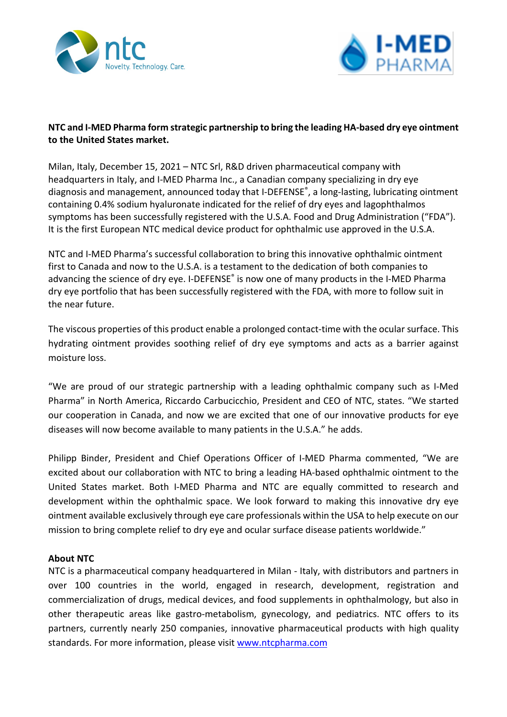



## **NTC and I-MED Pharma form strategic partnership to bring the leading HA-based dry eye ointment to the United States market.**

Milan, Italy, December 15, 2021 – NTC Srl, R&D driven pharmaceutical company with headquarters in Italy, and I-MED Pharma Inc., a Canadian company specializing in dry eye diagnosis and management, announced today that I-DEFENSE®, a long-lasting, lubricating ointment containing 0.4% sodium hyaluronate indicated for the relief of dry eyes and lagophthalmos symptoms has been successfully registered with the U.S.A. Food and Drug Administration ("FDA"). It is the first European NTC medical device product for ophthalmic use approved in the U.S.A.

NTC and I-MED Pharma's successful collaboration to bring this innovative ophthalmic ointment first to Canada and now to the U.S.A. is a testament to the dedication of both companies to advancing the science of dry eye. I-DEFENSE® is now one of many products in the I-MED Pharma dry eye portfolio that has been successfully registered with the FDA, with more to follow suit in the near future.

The viscous properties of this product enable a prolonged contact-time with the ocular surface. This hydrating ointment provides soothing relief of dry eye symptoms and acts as a barrier against moisture loss.

"We are proud of our strategic partnership with a leading ophthalmic company such as I-Med Pharma" in North America, Riccardo Carbucicchio, President and CEO of NTC, states. "We started our cooperation in Canada, and now we are excited that one of our innovative products for eye diseases will now become available to many patients in the U.S.A." he adds.

Philipp Binder, President and Chief Operations Officer of I-MED Pharma commented, "We are excited about our collaboration with NTC to bring a leading HA-based ophthalmic ointment to the United States market. Both I-MED Pharma and NTC are equally committed to research and development within the ophthalmic space. We look forward to making this innovative dry eye ointment available exclusively through eye care professionals within the USA to help execute on our mission to bring complete relief to dry eye and ocular surface disease patients worldwide."

## **About NTC**

NTC is a pharmaceutical company headquartered in Milan - Italy, with distributors and partners in over 100 countries in the world, engaged in research, development, registration and commercialization of drugs, medical devices, and food supplements in ophthalmology, but also in other therapeutic areas like gastro-metabolism, gynecology, and pediatrics. NTC offers to its partners, currently nearly 250 companies, innovative pharmaceutical products with high quality standards. For more information, please visit [www.ntcpharma.com](http://www.ntcpharma.com/)